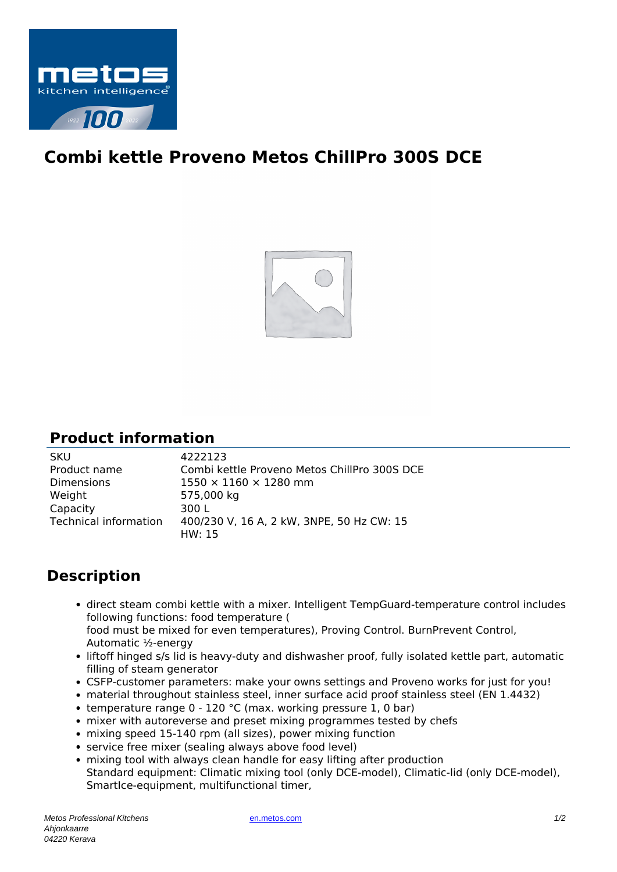

## **Combi kettle Proveno Metos ChillPro 300S DCE**



## **Product information**

| <b>SKU</b>            | 4222123                                      |
|-----------------------|----------------------------------------------|
| Product name          | Combi kettle Proveno Metos ChillPro 300S DCE |
| <b>Dimensions</b>     | $1550 \times 1160 \times 1280$ mm            |
| Weight                | 575,000 kg                                   |
| Capacity              | 300 L                                        |
| Technical information | 400/230 V, 16 A, 2 kW, 3NPE, 50 Hz CW: 15    |
|                       | HW: 15                                       |

## **Description**

- direct steam combi kettle with a mixer. Intelligent TempGuard-temperature control includes following functions: food temperature ( food must be mixed for even temperatures), Proving Control. BurnPrevent Control, Automatic ½-energy
- liftoff hinged s/s lid is heavy-duty and dishwasher proof, fully isolated kettle part, automatic filling of steam generator
- CSFP-customer parameters: make your owns settings and Proveno works for just for you!
- material throughout stainless steel, inner surface acid proof stainless steel (EN 1.4432)
- temperature range 0 120 °C (max. working pressure 1, 0 bar)
- mixer with autoreverse and preset mixing programmes tested by chefs
- mixing speed 15-140 rpm (all sizes), power mixing function
- service free mixer (sealing always above food level)
- mixing tool with always clean handle for easy lifting after production Standard equipment: Climatic mixing tool (only DCE-model), Climatic-lid (only DCE-model), SmartIce-equipment, multifunctional timer,